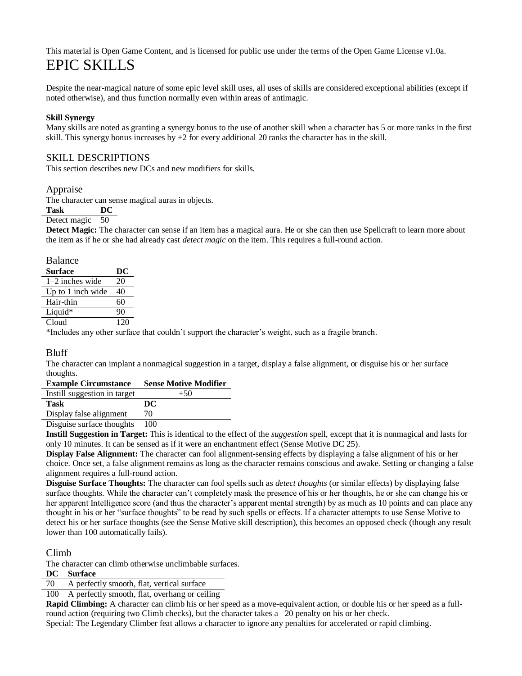## This material is Open Game Content, and is licensed for public use under the terms of the Open Game License v1.0a. EPIC SKILLS

Despite the near-magical nature of some epic level skill uses, all uses of skills are considered exceptional abilities (except if noted otherwise), and thus function normally even within areas of antimagic.

#### **Skill Synergy**

Many skills are noted as granting a synergy bonus to the use of another skill when a character has 5 or more ranks in the first skill. This synergy bonus increases by  $+2$  for every additional 20 ranks the character has in the skill.

## SKILL DESCRIPTIONS

This section describes new DCs and new modifiers for skills.

#### Appraise

The character can sense magical auras in objects.

#### **Task DC**

#### Detect magic 50

**Detect Magic:** The character can sense if an item has a magical aura. He or she can then use Spellcraft to learn more about the item as if he or she had already cast *detect magic* on the item. This requires a full-round action.

| <b>Balance</b>    |     |
|-------------------|-----|
| <b>Surface</b>    | DC  |
| $1-2$ inches wide | 20  |
| Up to 1 inch wide | 40  |
| Hair-thin         | 60  |
| Liquid*           | 90  |
| Cloud             | 120 |

\*Includes any other surface that couldn't support the character's weight, such as a fragile branch.

## Bluff

The character can implant a nonmagical suggestion in a target, display a false alignment, or disguise his or her surface thoughts.

#### **Example Circumstance Sense Motive Modifier**

| Instill suggestion in target | $+50$ |
|------------------------------|-------|
| <b>Task</b>                  | DC    |
| Display false alignment      | 70    |
| $\sim$                       |       |

Disguise surface thoughts 100

**Instill Suggestion in Target:** This is identical to the effect of the *suggestion* spell, except that it is nonmagical and lasts for only 10 minutes. It can be sensed as if it were an enchantment effect (Sense Motive DC 25).

**Display False Alignment:** The character can fool alignment-sensing effects by displaying a false alignment of his or her choice. Once set, a false alignment remains as long as the character remains conscious and awake. Setting or changing a false alignment requires a full-round action.

**Disguise Surface Thoughts:** The character can fool spells such as *detect thoughts* (or similar effects) by displaying false surface thoughts. While the character can't completely mask the presence of his or her thoughts, he or she can change his or her apparent Intelligence score (and thus the character's apparent mental strength) by as much as 10 points and can place any thought in his or her "surface thoughts" to be read by such spells or effects. If a character attempts to use Sense Motive to detect his or her surface thoughts (see the Sense Motive skill description), this becomes an opposed check (though any result lower than 100 automatically fails).

## Climb

The character can climb otherwise unclimbable surfaces.

**DC Surface** 

70 A perfectly smooth, flat, vertical surface

100 A perfectly smooth, flat, overhang or ceiling

**Rapid Climbing:** A character can climb his or her speed as a move-equivalent action, or double his or her speed as a fullround action (requiring two Climb checks), but the character takes  $a - 20$  penalty on his or her check.

Special: The Legendary Climber feat allows a character to ignore any penalties for accelerated or rapid climbing.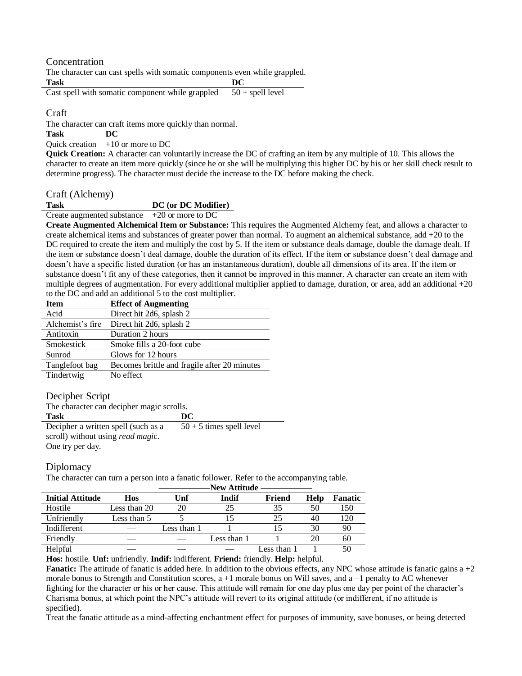Concentration

The character can cast spells with somatic components even while grappled. **Task DC** 

Cast spell with somatic component while grappled  $50 +$  spell level

Craft

The character can craft items more quickly than normal.

**Task DC** 

Quick creation  $+10$  or more to DC

**Quick Creation:** A character can voluntarily increase the DC of crafting an item by any multiple of 10. This allows the character to create an item more quickly (since he or she will be multiplying this higher DC by his or her skill check result to determine progress). The character must decide the increase to the DC before making the check.

Craft (Alchemy)

#### **Task DC (or DC Modifier)**

Create augmented substance +20 or more to DC

**Create Augmented Alchemical Item or Substance:** This requires the Augmented Alchemy feat, and allows a character to create alchemical items and substances of greater power than normal. To augment an alchemical substance, add +20 to the DC required to create the item and multiply the cost by 5. If the item or substance deals damage, double the damage dealt. If the item or substance doesn't deal damage, double the duration of its effect. If the item or substance doesn't deal damage and doesn't have a specific listed duration (or has an instantaneous duration), double all dimensions of its area. If the item or substance doesn't fit any of these categories, then it cannot be improved in this manner. A character can create an item with multiple degrees of augmentation. For every additional multiplier applied to damage, duration, or area, add an additional  $+20$ to the DC and add an additional 5 to the cost multiplier.

| <b>Item</b>      | <b>Effect of Augmenting</b>                  |
|------------------|----------------------------------------------|
| Acid             | Direct hit 2d6, splash 2                     |
| Alchemist's fire | Direct hit 2d6, splash 2                     |
| Antitoxin        | Duration 2 hours                             |
| Smokestick       | Smoke fills a 20-foot cube                   |
| Sunrod           | Glows for 12 hours                           |
| Tanglefoot bag   | Becomes brittle and fragile after 20 minutes |
| Tindertwig       | No effect                                    |

#### Decipher Script

| The character can decipher magic scrolls. |                            |  |  |
|-------------------------------------------|----------------------------|--|--|
| <b>Task</b>                               | DC                         |  |  |
| Decipher a written spell (such as a       | $50 + 5$ times spell level |  |  |
| scroll) without using <i>read magic</i> . |                            |  |  |
| One try per day.                          |                            |  |  |

## Diplomacy

The character can turn a person into a fanatic follower. Refer to the accompanying table. **——————New Attitude ——————**

|                         |              |             | -inew Atutuue |             |      |         |
|-------------------------|--------------|-------------|---------------|-------------|------|---------|
| <b>Initial Attitude</b> | Hos          | Unf         | Indif         | Friend      | Help | Fanatic |
| Hostile                 | Less than 20 | 20          | 25            | 35          | 50   | 150     |
| Unfriendly              | Less than 5  |             |               | 25          | 40   | 120     |
| Indifferent             |              | Less than 1 |               |             | 30   | 90      |
| Friendly                |              |             | Less than 1   |             | 20   | 60      |
| Helpful                 |              |             |               | Less than 1 |      | 50      |

**Hos:** hostile. **Unf:** unfriendly. **Indif:** indifferent. **Friend:** friendly. **Help:** helpful.

**Fanatic:** The attitude of fanatic is added here. In addition to the obvious effects, any NPC whose attitude is fanatic gains a +2 morale bonus to Strength and Constitution scores,  $a + 1$  morale bonus on Will saves, and  $a - 1$  penalty to AC whenever fighting for the character or his or her cause. This attitude will remain for one day plus one day per point of the character's Charisma bonus, at which point the NPC's attitude will revert to its original attitude (or indifferent, if no attitude is specified).

Treat the fanatic attitude as a mind-affecting enchantment effect for purposes of immunity, save bonuses, or being detected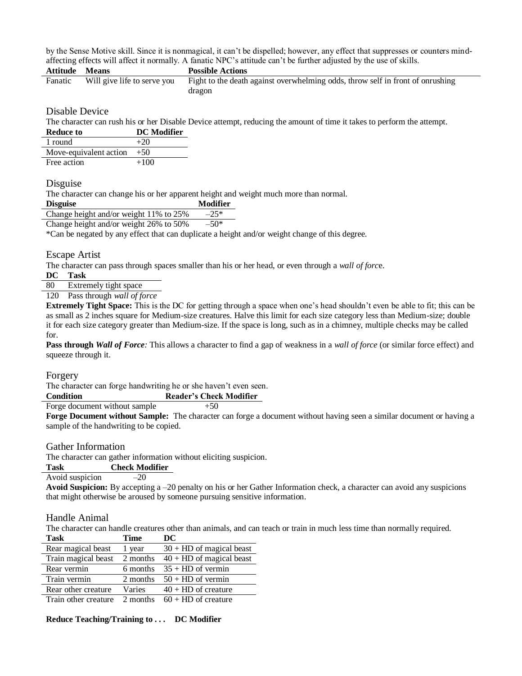by the Sense Motive skill. Since it is nonmagical, it can't be dispelled; however, any effect that suppresses or counters mindaffecting effects will affect it normally. A fanatic NPC's attitude can't be further adjusted by the use of skills.

| <b>Attitude Means</b> |                             | <b>Possible Actions</b>                                                                  |
|-----------------------|-----------------------------|------------------------------------------------------------------------------------------|
| Fanatic               | Will give life to serve you | Fight to the death against overwhelming odds, throw self in front of onrushing<br>dragon |

Disable Device

The character can rush his or her Disable Device attempt, reducing the amount of time it takes to perform the attempt.

| <b>Reduce to</b> | <b>DC</b> Modifier |
|------------------|--------------------|
| 1 round          |                    |
|                  |                    |

| Move-equivalent action $+50$ |        |
|------------------------------|--------|
| Free action                  | $+100$ |

#### Disguise

The character can change his or her apparent height and weight much more than normal.

| <b>Disguise</b>                        | <b>Modifier</b> |
|----------------------------------------|-----------------|
| Change height and/or weight 11% to 25% | $-25*$          |
|                                        |                 |

Change height and/or weight 26% to 50%  $-50*$ 

\*Can be negated by any effect that can duplicate a height and/or weight change of this degree.

Escape Artist

The character can pass through spaces smaller than his or her head, or even through a *wall of forc*e.

**DC Task** 

80 Extremely tight space

120 Pass through *wall of force* 

**Extremely Tight Space:** This is the DC for getting through a space when one's head shouldn't even be able to fit; this can be as small as 2 inches square for Medium-size creatures. Halve this limit for each size category less than Medium-size; double it for each size category greater than Medium-size. If the space is long, such as in a chimney, multiple checks may be called for.

**Pass through** *Wall of Force:* This allows a character to find a gap of weakness in a *wall of force* (or similar force effect) and squeeze through it.

#### Forgery

The character can forge handwriting he or she haven't even seen.

**Condition Reader's Check Modifier**

Forge document without sample  $+50$ 

**Forge Document without Sample:** The character can forge a document without having seen a similar document or having a sample of the handwriting to be copied.

#### Gather Information

The character can gather information without eliciting suspicion.

#### **Task Check Modifier**

Avoid suspicion  $-20$ 

**Avoid Suspicion:** By accepting a –20 penalty on his or her Gather Information check, a character can avoid any suspicions that might otherwise be aroused by someone pursuing sensitive information.

#### Handle Animal

The character can handle creatures other than animals, and can teach or train in much less time than normally required.<br>
Task Time DC **Time DC** 

| 1 аэл                         | т ппе    | IJW.                       |
|-------------------------------|----------|----------------------------|
| Rear magical beast            | 1 year   | $30 + HD$ of magical beast |
| Train magical beast           | 2 months | $40 + HD$ of magical beast |
| Rear vermin                   | 6 months | $35 + HD$ of vermin        |
| Train vermin                  | 2 months | $50 + HD$ of vermin        |
| Rear other creature           | Varies   | $40 + HD$ of creature      |
| Troin other organize 2 months |          | $60 \pm 10$ of orgatura    |

Train other creature  $2$  months  $60 + HD$  of creature

#### **Reduce Teaching/Training to . . . DC Modifier**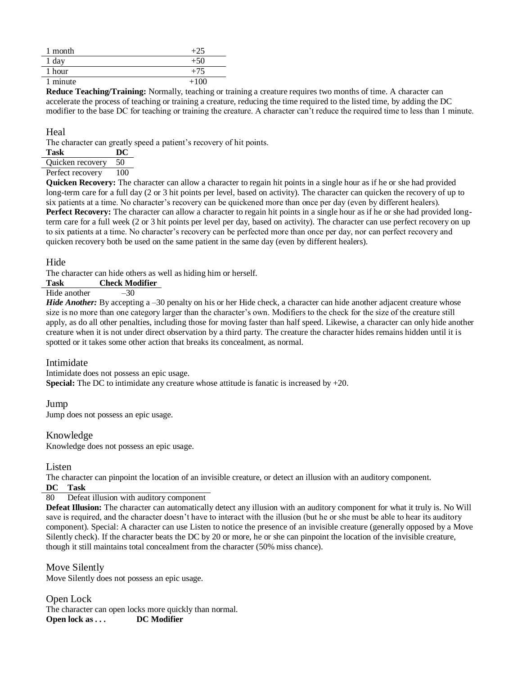| month   |        |
|---------|--------|
| $1$ day | $+50$  |
| 1 hour  | $+75$  |
| minute  | $+100$ |

**Reduce Teaching/Training:** Normally, teaching or training a creature requires two months of time. A character can accelerate the process of teaching or training a creature, reducing the time required to the listed time, by adding the DC modifier to the base DC for teaching or training the creature. A character can't reduce the required time to less than 1 minute.

#### **Heal**

The character can greatly speed a patient's recovery of hit points.

| Task             | DC: |
|------------------|-----|
| Quicken recovery | 50  |
| Perfect recovery | 100 |

**Quicken Recovery:** The character can allow a character to regain hit points in a single hour as if he or she had provided long-term care for a full day (2 or 3 hit points per level, based on activity). The character can quicken the recovery of up to six patients at a time. No character's recovery can be quickened more than once per day (even by different healers). **Perfect Recovery:** The character can allow a character to regain hit points in a single hour as if he or she had provided longterm care for a full week (2 or 3 hit points per level per day, based on activity). The character can use perfect recovery on up to six patients at a time. No character's recovery can be perfected more than once per day, nor can perfect recovery and quicken recovery both be used on the same patient in the same day (even by different healers).

#### **Hide**

The character can hide others as well as hiding him or herself.

## **Task Check Modifier**

## Hide another  $\overline{\qquad}$  -30

*Hide Another:* By accepting a –30 penalty on his or her Hide check, a character can hide another adjacent creature whose size is no more than one category larger than the character's own. Modifiers to the check for the size of the creature still apply, as do all other penalties, including those for moving faster than half speed. Likewise, a character can only hide another creature when it is not under direct observation by a third party. The creature the character hides remains hidden until it is spotted or it takes some other action that breaks its concealment, as normal.

#### Intimidate

Intimidate does not possess an epic usage. **Special:** The DC to intimidate any creature whose attitude is fanatic is increased by +20.

## Jump

Jump does not possess an epic usage.

## Knowledge

Knowledge does not possess an epic usage.

#### Listen

The character can pinpoint the location of an invisible creature, or detect an illusion with an auditory component. **DC Task** 

#### 80 Defeat illusion with auditory component

**Defeat Illusion:** The character can automatically detect any illusion with an auditory component for what it truly is. No Will save is required, and the character doesn't have to interact with the illusion (but he or she must be able to hear its auditory component). Special: A character can use Listen to notice the presence of an invisible creature (generally opposed by a Move Silently check). If the character beats the DC by 20 or more, he or she can pinpoint the location of the invisible creature, though it still maintains total concealment from the character (50% miss chance).

Move Silently Move Silently does not possess an epic usage.

Open Lock The character can open locks more quickly than normal. **Open lock as ...** DC Modifier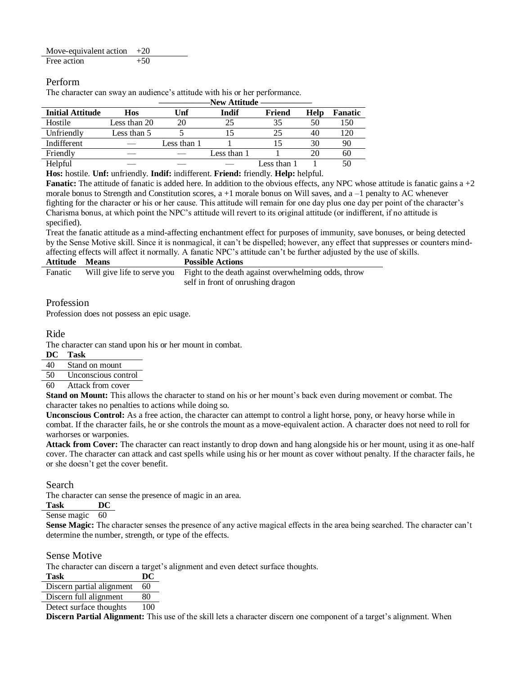| Move-equivalent action $+20$ |       |  |
|------------------------------|-------|--|
| Free action                  | $+50$ |  |

## Perform

The character can sway an audience's attitude with his or her performance.

|                         |              |             | -inew Atutuue |             |      |         |
|-------------------------|--------------|-------------|---------------|-------------|------|---------|
| <b>Initial Attitude</b> | Hos          | Unf         | Indif         | Friend      | Help | Fanatic |
| Hostile                 | Less than 20 | 20          |               | 35          | 50   | 150     |
| Unfriendly              | Less than 5  |             |               | 25          | 40   | 120     |
| Indifferent             |              | Less than 1 |               |             | 30   | 90      |
| Friendly                |              |             | Less than 1   |             | 20   | 60      |
| Helpful                 |              |             |               | Less than 1 |      | 50      |

**——————New Attitude ——————**

**Hos:** hostile. **Unf:** unfriendly. **Indif:** indifferent. **Friend:** friendly. **Help:** helpful.

**Fanatic:** The attitude of fanatic is added here. In addition to the obvious effects, any NPC whose attitude is fanatic gains a +2 morale bonus to Strength and Constitution scores,  $a + 1$  morale bonus on Will saves, and  $a - 1$  penalty to AC whenever fighting for the character or his or her cause. This attitude will remain for one day plus one day per point of the character's Charisma bonus, at which point the NPC's attitude will revert to its original attitude (or indifferent, if no attitude is specified).

Treat the fanatic attitude as a mind-affecting enchantment effect for purposes of immunity, save bonuses, or being detected by the Sense Motive skill. Since it is nonmagical, it can't be dispelled; however, any effect that suppresses or counters mindaffecting effects will affect it normally. A fanatic NPC's attitude can't be further adjusted by the use of skills.

| <b>Attitude</b> | <b>Means</b> | <b>Possible Actions</b>                                                         |
|-----------------|--------------|---------------------------------------------------------------------------------|
| Fanatic         |              | Will give life to serve you Fight to the death against overwhelming odds, throw |
|                 |              | self in front of onrushing dragon                                               |

## Profession

Profession does not possess an epic usage.

#### Ride

The character can stand upon his or her mount in combat.

#### **DC Task**

40 Stand on mount

- 50 Unconscious control
- 60 Attack from cover

**Stand on Mount:** This allows the character to stand on his or her mount's back even during movement or combat. The character takes no penalties to actions while doing so.

**Unconscious Control:** As a free action, the character can attempt to control a light horse, pony, or heavy horse while in combat. If the character fails, he or she controls the mount as a move-equivalent action. A character does not need to roll for warhorses or warponies.

**Attack from Cover:** The character can react instantly to drop down and hang alongside his or her mount, using it as one-half cover. The character can attack and cast spells while using his or her mount as cover without penalty. If the character fails, he or she doesn't get the cover benefit.

## Search

The character can sense the presence of magic in an area.

## **Task DC**

Sense magic 60

Sense Magic: The character senses the presence of any active magical effects in the area being searched. The character can't determine the number, strength, or type of the effects.

#### Sense Motive

The character can discern a target's alignment and even detect surface thoughts.

**Task DC**

Discern partial alignment 60

Discern full alignment 80

Detect surface thoughts 100

**Discern Partial Alignment:** This use of the skill lets a character discern one component of a target's alignment. When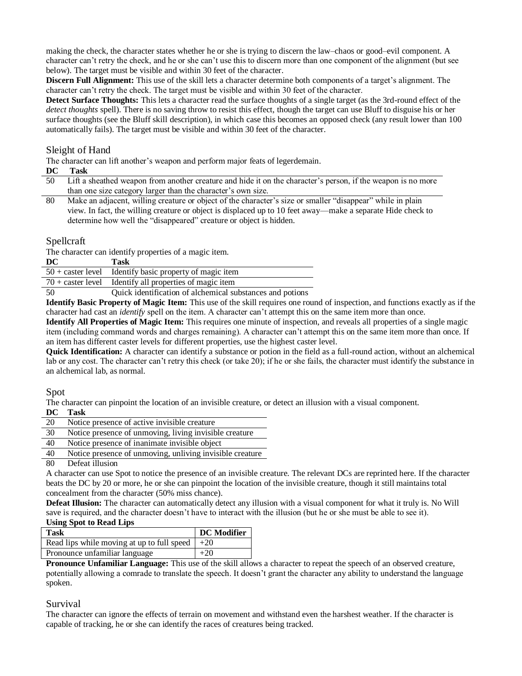making the check, the character states whether he or she is trying to discern the law–chaos or good–evil component. A character can't retry the check, and he or she can't use this to discern more than one component of the alignment (but see below). The target must be visible and within 30 feet of the character.

**Discern Full Alignment:** This use of the skill lets a character determine both components of a target's alignment. The character can't retry the check. The target must be visible and within 30 feet of the character.

**Detect Surface Thoughts:** This lets a character read the surface thoughts of a single target (as the 3rd-round effect of the *detect thoughts* spell). There is no saving throw to resist this effect, though the target can use Bluff to disguise his or her surface thoughts (see the Bluff skill description), in which case this becomes an opposed check (any result lower than 100 automatically fails). The target must be visible and within 30 feet of the character.

#### Sleight of Hand

The character can lift another's weapon and perform major feats of legerdemain.

| DC | Task |
|----|------|
|    |      |

- 50 Lift a sheathed weapon from another creature and hide it on the character's person, if the weapon is no more than one size category larger than the character's own size.
- 80 Make an adjacent, willing creature or object of the character's size or smaller "disappear" while in plain view. In fact, the willing creature or object is displaced up to 10 feet away—make a separate Hide check to determine how well the "disappeared" creature or object is hidden.

#### Spellcraft

The character can identify properties of a magic item.

| DC<br>Task |  |
|------------|--|
|------------|--|

| $50 + \text{caster level}$ Identify basic property of magic item |
|------------------------------------------------------------------|
| $70 + \text{caster level}$ Identify all properties of magic item |

50 Quick identification of alchemical substances and potions

**Identify Basic Property of Magic Item:** This use of the skill requires one round of inspection, and functions exactly as if the character had cast an *identify* spell on the item. A character can't attempt this on the same item more than once.

**Identify All Properties of Magic Item:** This requires one minute of inspection, and reveals all properties of a single magic item (including command words and charges remaining). A character can't attempt this on the same item more than once. If an item has different caster levels for different properties, use the highest caster level.

**Quick Identification:** A character can identify a substance or potion in the field as a full-round action, without an alchemical lab or any cost. The character can't retry this check (or take 20); if he or she fails, the character must identify the substance in an alchemical lab, as normal.

#### Spot

The character can pinpoint the location of an invisible creature, or detect an illusion with a visual component.

#### **DC Task**

| ___ | --------                                     |
|-----|----------------------------------------------|
| 20  | Notice presence of active invisible creature |
|     |                                              |

- 30 Notice presence of unmoving, living invisible creature
- 40 Notice presence of inanimate invisible object
- 40 Notice presence of unmoving, unliving invisible creature

#### 80 Defeat illusion

A character can use Spot to notice the presence of an invisible creature*.* The relevant DCs are reprinted here. If the character beats the DC by 20 or more, he or she can pinpoint the location of the invisible creature, though it still maintains total concealment from the character (50% miss chance).

**Defeat Illusion:** The character can automatically detect any illusion with a visual component for what it truly is. No Will save is required, and the character doesn't have to interact with the illusion (but he or she must be able to see it). **Using Spot to Read Lips** 

| USHIR SPOL to Read Lips                           |             |
|---------------------------------------------------|-------------|
| <b>Task</b>                                       | DC Modifier |
| Read lips while moving at up to full speed $ +20$ |             |
| Pronounce unfamiliar language                     | $+20$       |

**Pronounce Unfamiliar Language:** This use of the skill allows a character to repeat the speech of an observed creature, potentially allowing a comrade to translate the speech. It doesn't grant the character any ability to understand the language spoken.

#### Survival

The character can ignore the effects of terrain on movement and withstand even the harshest weather. If the character is capable of tracking, he or she can identify the races of creatures being tracked.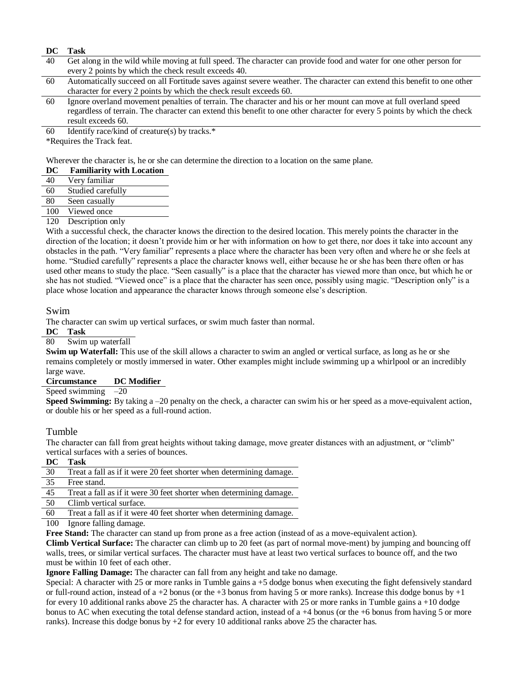#### **DC Task**

- 40 Get along in the wild while moving at full speed. The character can provide food and water for one other person for every 2 points by which the check result exceeds 40.
- 60 Automatically succeed on all Fortitude saves against severe weather. The character can extend this benefit to one other character for every 2 points by which the check result exceeds 60.
- 60 Ignore overland movement penalties of terrain. The character and his or her mount can move at full overland speed regardless of terrain. The character can extend this benefit to one other character for every 5 points by which the check result exceeds 60.
- 60 Identify race/kind of creature(s) by tracks. $*$

\*Requires the Track feat.

Wherever the character is, he or she can determine the direction to a location on the same plane.

| DC | <b>Familiarity with Location</b> |
|----|----------------------------------|
|----|----------------------------------|

- 40 Very familiar
- 60 Studied carefully
- 80 Seen casually
- 100 Viewed once

#### 120 Description only

With a successful check, the character knows the direction to the desired location. This merely points the character in the direction of the location; it doesn't provide him or her with information on how to get there, nor does it take into account any obstacles in the path. "Very familiar" represents a place where the character has been very often and where he or she feels at home. "Studied carefully" represents a place the character knows well, either because he or she has been there often or has used other means to study the place. "Seen casually" is a place that the character has viewed more than once, but which he or she has not studied. "Viewed once" is a place that the character has seen once, possibly using magic. "Description only" is a place whose location and appearance the character knows through someone else's description.

Swim

The character can swim up vertical surfaces, or swim much faster than normal.

**DC Task** 

80 Swim up waterfall

**Swim up Waterfall:** This use of the skill allows a character to swim an angled or vertical surface, as long as he or she remains completely or mostly immersed in water. Other examples might include swimming up a whirlpool or an incredibly large wave.

**Circumstance DC Modifier** 

Speed swimming  $-20$ 

**Speed Swimming:** By taking a –20 penalty on the check, a character can swim his or her speed as a move-equivalent action, or double his or her speed as a full-round action.

#### Tumble

The character can fall from great heights without taking damage, move greater distances with an adjustment, or "climb" vertical surfaces with a series of bounces.

#### **DC Task**

| 30 | Treat a fall as if it were 20 feet shorter when determining damage. |
|----|---------------------------------------------------------------------|
| 35 | Free stand.                                                         |
| 45 | Treat a fall as if it were 30 feet shorter when determining damage. |
| 50 | Climb vertical surface.                                             |
| 60 | Treat a fall as if it were 40 feet shorter when determining damage. |

100 Ignore falling damage.

**Free Stand:** The character can stand up from prone as a free action (instead of as a move-equivalent action).

**Climb Vertical Surface:** The character can climb up to 20 feet (as part of normal move-ment) by jumping and bouncing off walls, trees, or similar vertical surfaces. The character must have at least two vertical surfaces to bounce off, and the two must be within 10 feet of each other.

**Ignore Falling Damage:** The character can fall from any height and take no damage.

Special: A character with 25 or more ranks in Tumble gains a +5 dodge bonus when executing the fight defensively standard or full-round action, instead of a +2 bonus (or the +3 bonus from having 5 or more ranks). Increase this dodge bonus by +1 for every 10 additional ranks above 25 the character has. A character with 25 or more ranks in Tumble gains a +10 dodge bonus to AC when executing the total defense standard action, instead of a +4 bonus (or the +6 bonus from having 5 or more ranks). Increase this dodge bonus by  $+2$  for every 10 additional ranks above 25 the character has.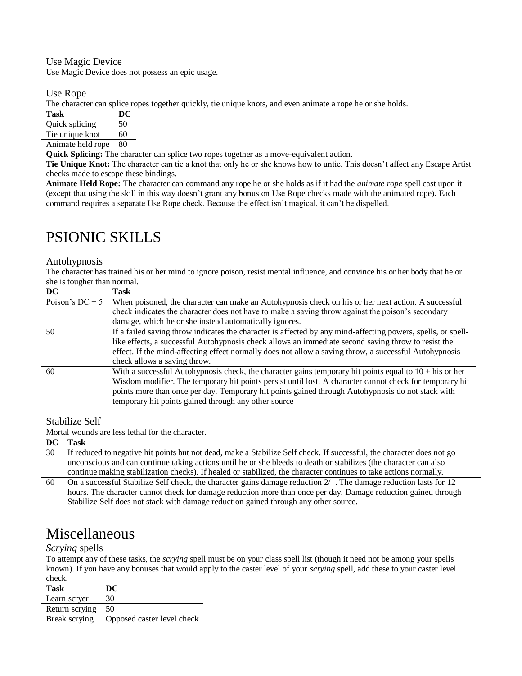Use Magic Device Use Magic Device does not possess an epic usage.

Use Rope

The character can splice ropes together quickly, tie unique knots, and even animate a rope he or she holds.

| Task           |    |
|----------------|----|
| Quick splicing | 50 |
| $\mathbf{m}$ . |    |

Tie unique knot 60 Animate held rope 80

**Quick Splicing:** The character can splice two ropes together as a move-equivalent action.

**Tie Unique Knot:** The character can tie a knot that only he or she knows how to untie. This doesn't affect any Escape Artist checks made to escape these bindings.

**Animate Held Rope:** The character can command any rope he or she holds as if it had the *animate rope* spell cast upon it (except that using the skill in this way doesn't grant any bonus on Use Rope checks made with the animated rope). Each command requires a separate Use Rope check. Because the effect isn't magical, it can't be dispelled.

# PSIONIC SKILLS

## Autohypnosis

The character has trained his or her mind to ignore poison, resist mental influence, and convince his or her body that he or she is tougher than normal.

| DC                | Task                                                                                                                                                                                                                                                                                                                                                                               |
|-------------------|------------------------------------------------------------------------------------------------------------------------------------------------------------------------------------------------------------------------------------------------------------------------------------------------------------------------------------------------------------------------------------|
| Poison's $DC + 5$ | When poisoned, the character can make an Autohypnosis check on his or her next action. A successful                                                                                                                                                                                                                                                                                |
|                   | check indicates the character does not have to make a saving throw against the poison's secondary                                                                                                                                                                                                                                                                                  |
|                   | damage, which he or she instead automatically ignores.                                                                                                                                                                                                                                                                                                                             |
| 50                | If a failed saving throw indicates the character is affected by any mind-affecting powers, spells, or spell-                                                                                                                                                                                                                                                                       |
|                   | like effects, a successful Autohypnosis check allows an immediate second saving throw to resist the                                                                                                                                                                                                                                                                                |
|                   | effect. If the mind-affecting effect normally does not allow a saving throw, a successful Autohypnosis                                                                                                                                                                                                                                                                             |
|                   | check allows a saving throw.                                                                                                                                                                                                                                                                                                                                                       |
| 60                | With a successful Autohypnosis check, the character gains temporary hit points equal to $10 +$ his or her<br>Wisdom modifier. The temporary hit points persist until lost. A character cannot check for temporary hit<br>points more than once per day. Temporary hit points gained through Autohypnosis do not stack with<br>temporary hit points gained through any other source |

## Stabilize Self

Mortal wounds are less lethal for the character.

**DC Task** 

30 If reduced to negative hit points but not dead, make a Stabilize Self check. If successful, the character does not go unconscious and can continue taking actions until he or she bleeds to death or stabilizes (the character can also continue making stabilization checks). If healed or stabilized, the character continues to take actions normally.

60 On a successful Stabilize Self check, the character gains damage reduction  $2/-$ . The damage reduction lasts for 12 hours. The character cannot check for damage reduction more than once per day. Damage reduction gained through Stabilize Self does not stack with damage reduction gained through any other source.

## Miscellaneous

## *Scrying* spells

To attempt any of these tasks, the *scrying* spell must be on your class spell list (though it need not be among your spells known). If you have any bonuses that would apply to the caster level of your *scrying* spell, add these to your caster level check.

| <b>Task</b>    | DC  |
|----------------|-----|
| Learn scryer   | 30  |
| Return scrying | -50 |

Break scrying Opposed caster level check